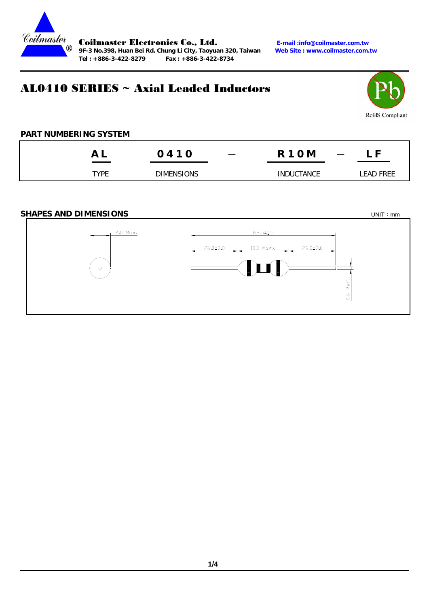

Coilmaster Electronics Co., Ltd. *E-mail :info@coilmaster.com.tw*<br>9F-3 No.398, Huan Bei Rd. Chung Li City, Taoyuan 320, Taiwan Web Site : www.coilmaster.com.tw 9F-3 No.398, Huan Bei Rd. Chung Li City, Taoyuan 320, Taiwan **Tel : +886-3-422-8279 Fax : +886-3-422-8734** 

# AL0410 SERIES ~ Axial Leaded Inductors



## **PART NUMBERING SYSTEM**

|      | 0410              | $\overline{\phantom{m}}$ | <b>R10M</b><br>$\overline{\phantom{a}}$ | - F       |
|------|-------------------|--------------------------|-----------------------------------------|-----------|
| TYPE | <b>DIMENSIONS</b> |                          | <b>INDUCTANCE</b>                       | EAD FREE. |

### **SHAPES AND DIMENSIONS UNIT:** mm

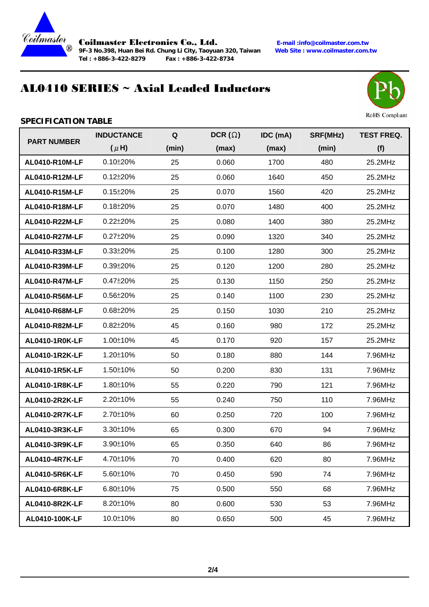

9F-3 No.398, Huan Bei Rd. Chung Li City, Taoyuan 320, Taiwan **Tel : +886-3-422-8279 Fax : +886-3-422-8734** 

Coilmaster Electronics Co., Ltd. **E-mail :info@coilmaster.com.tw**

# AL0410 SERIES ~ Axial Leaded Inductors



**RoHS** Compliant

### **SPECIFICATION TABLE**

| <b>PART NUMBER</b>    | <b>INDUCTANCE</b> | $\mathbf Q$ | DCR $(\Omega)$ | IDC (mA) | SRF(MHz) | <b>TEST FREQ.</b> |
|-----------------------|-------------------|-------------|----------------|----------|----------|-------------------|
|                       | $(\mu H)$         | (min)       | (max)          | (max)    | (min)    | (f)               |
| AL0410-R10M-LF        | $0.10 \pm 20 \%$  | 25          | 0.060          | 1700     | 480      | 25.2MHz           |
| AL0410-R12M-LF        | $0.12 \pm 20\%$   | 25          | 0.060          | 1640     | 450      | 25.2MHz           |
| AL0410-R15M-LF        | $0.15 \pm 20\%$   | 25          | 0.070          | 1560     | 420      | 25.2MHz           |
| AL0410-R18M-LF        | $0.18 \pm 20\%$   | 25          | 0.070          | 1480     | 400      | 25.2MHz           |
| AL0410-R22M-LF        | $0.22 \pm 20\%$   | 25          | 0.080          | 1400     | 380      | 25.2MHz           |
| AL0410-R27M-LF        | 0.27±20%          | 25          | 0.090          | 1320     | 340      | 25.2MHz           |
| AL0410-R33M-LF        | $0.33 \pm 20\%$   | 25          | 0.100          | 1280     | 300      | 25.2MHz           |
| AL0410-R39M-LF        | $0.39 \pm 20\%$   | 25          | 0.120          | 1200     | 280      | 25.2MHz           |
| AL0410-R47M-LF        | 0.47±20%          | 25          | 0.130          | 1150     | 250      | 25.2MHz           |
| AL0410-R56M-LF        | $0.56 \pm 20\%$   | 25          | 0.140          | 1100     | 230      | 25.2MHz           |
| AL0410-R68M-LF        | $0.68 \pm 20\%$   | 25          | 0.150          | 1030     | 210      | 25.2MHz           |
| AL0410-R82M-LF        | $0.82 \pm 20\%$   | 45          | 0.160          | 980      | 172      | 25.2MHz           |
| <b>AL0410-1R0K-LF</b> | 1.00±10%          | 45          | 0.170          | 920      | 157      | 25.2MHz           |
| AL0410-1R2K-LF        | 1.20±10%          | 50          | 0.180          | 880      | 144      | 7.96MHz           |
| AL0410-1R5K-LF        | 1.50±10%          | 50          | 0.200          | 830      | 131      | 7.96MHz           |
| AL0410-1R8K-LF        | 1.80±10%          | 55          | 0.220          | 790      | 121      | 7.96MHz           |
| AL0410-2R2K-LF        | 2.20±10%          | 55          | 0.240          | 750      | 110      | 7.96MHz           |
| AL0410-2R7K-LF        | 2.70±10%          | 60          | 0.250          | 720      | 100      | 7.96MHz           |
| AL0410-3R3K-LF        | 3.30±10%          | 65          | 0.300          | 670      | 94       | 7.96MHz           |
| AL0410-3R9K-LF        | 3.90±10%          | 65          | 0.350          | 640      | 86       | 7.96MHz           |
| AL0410-4R7K-LF        | 4.70±10%          | 70          | 0.400          | 620      | 80       | 7.96MHz           |
| AL0410-5R6K-LF        | 5.60±10%          | 70          | 0.450          | 590      | 74       | 7.96MHz           |
| AL0410-6R8K-LF        | 6.80±10%          | 75          | 0.500          | 550      | 68       | 7.96MHz           |
| AL0410-8R2K-LF        | 8.20±10%          | 80          | 0.600          | 530      | 53       | 7.96MHz           |
| AL0410-100K-LF        | 10.0±10%          | 80          | 0.650          | 500      | 45       | 7.96MHz           |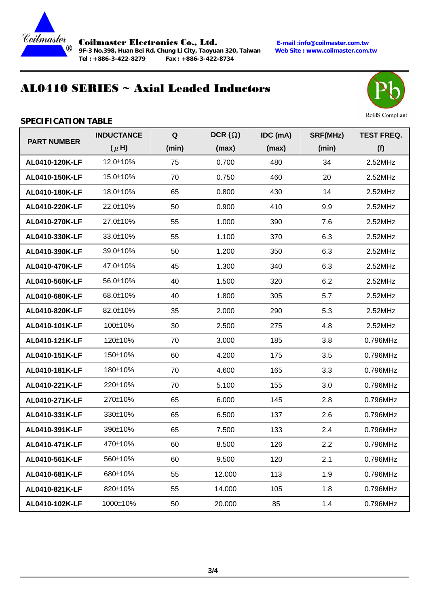

9F-3 No.398, Huan Bei Rd. Chung Li City, Taoyuan 320, Taiwan **Tel : +886-3-422-8279 Fax : +886-3-422-8734** 

Coilmaster Electronics Co., Ltd. **E-mail :info@coilmaster.com.tw**

# AL0410 SERIES ~ Axial Leaded Inductors



**RoHS** Compliant

### **SPECIFICATION TABLE**

| <b>PART NUMBER</b> | <b>INDUCTANCE</b> | $\mathbf Q$ | DCR $(\Omega)$ | IDC (mA) | SRF(MHz) | <b>TEST FREQ.</b> |
|--------------------|-------------------|-------------|----------------|----------|----------|-------------------|
|                    | $(\mu H)$         | (min)       | (max)          | (max)    | (min)    | (f)               |
| AL0410-120K-LF     | 12.0±10%          | 75          | 0.700          | 480      | 34       | 2.52MHz           |
| AL0410-150K-LF     | 15.0±10%          | 70          | 0.750          | 460      | 20       | 2.52MHz           |
| AL0410-180K-LF     | 18.0±10%          | 65          | 0.800          | 430      | 14       | 2.52MHz           |
| AL0410-220K-LF     | 22.0±10%          | 50          | 0.900          | 410      | 9.9      | 2.52MHz           |
| AL0410-270K-LF     | 27.0±10%          | 55          | 1.000          | 390      | 7.6      | 2.52MHz           |
| AL0410-330K-LF     | 33.0±10%          | 55          | 1.100          | 370      | 6.3      | 2.52MHz           |
| AL0410-390K-LF     | 39.0±10%          | 50          | 1.200          | 350      | 6.3      | 2.52MHz           |
| AL0410-470K-LF     | 47.0±10%          | 45          | 1.300          | 340      | 6.3      | 2.52MHz           |
| AL0410-560K-LF     | 56.0±10%          | 40          | 1.500          | 320      | 6.2      | 2.52MHz           |
| AL0410-680K-LF     | 68.0±10%          | 40          | 1.800          | 305      | 5.7      | 2.52MHz           |
| AL0410-820K-LF     | 82.0±10%          | 35          | 2.000          | 290      | 5.3      | 2.52MHz           |
| AL0410-101K-LF     | 100±10%           | 30          | 2.500          | 275      | 4.8      | 2.52MHz           |
| AL0410-121K-LF     | 120±10%           | 70          | 3.000          | 185      | 3.8      | 0.796MHz          |
| AL0410-151K-LF     | 150±10%           | 60          | 4.200          | 175      | 3.5      | 0.796MHz          |
| AL0410-181K-LF     | 180±10%           | 70          | 4.600          | 165      | 3.3      | 0.796MHz          |
| AL0410-221K-LF     | 220±10%           | 70          | 5.100          | 155      | 3.0      | 0.796MHz          |
| AL0410-271K-LF     | 270±10%           | 65          | 6.000          | 145      | 2.8      | 0.796MHz          |
| AL0410-331K-LF     | 330±10%           | 65          | 6.500          | 137      | 2.6      | 0.796MHz          |
| AL0410-391K-LF     | 390±10%           | 65          | 7.500          | 133      | 2.4      | 0.796MHz          |
| AL0410-471K-LF     | 470±10%           | 60          | 8.500          | 126      | 2.2      | 0.796MHz          |
| AL0410-561K-LF     | 560±10%           | 60          | 9.500          | 120      | 2.1      | 0.796MHz          |
| AL0410-681K-LF     | 680±10%           | 55          | 12.000         | 113      | 1.9      | 0.796MHz          |
| AL0410-821K-LF     | 820±10%           | 55          | 14.000         | 105      | 1.8      | 0.796MHz          |
| AL0410-102K-LF     | 1000±10%          | 50          | 20.000         | 85       | 1.4      | 0.796MHz          |